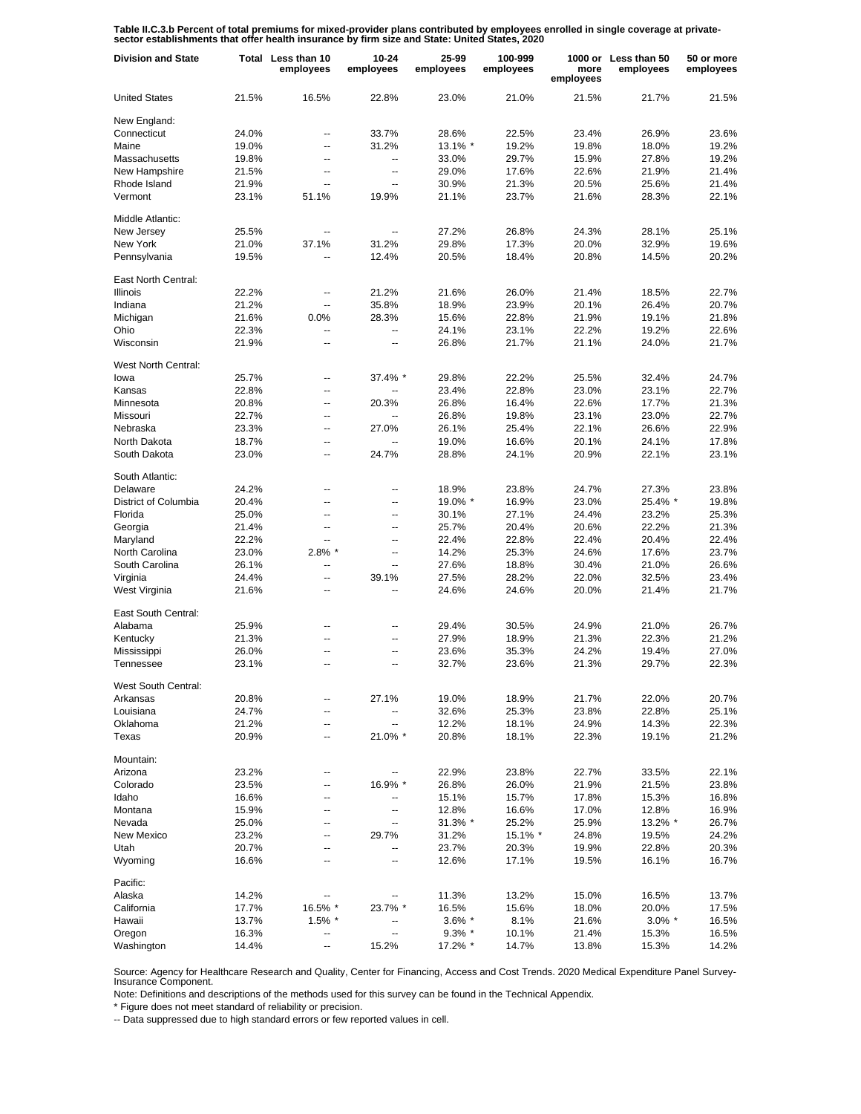Table II.C.3.b Percent of total premiums for mixed-provider plans contributed by employees enrolled in single coverage at private-<br>sector establishments that offer health insurance by firm size and State: United States, 20

| <b>Division and State</b>   |       | Total Less than 10<br>employees | $10 - 24$<br>employees   | 25-99<br>employees | 100-999<br>employees | more<br>employees | 1000 or Less than 50<br>employees | 50 or more<br>employees |
|-----------------------------|-------|---------------------------------|--------------------------|--------------------|----------------------|-------------------|-----------------------------------|-------------------------|
| <b>United States</b>        | 21.5% | 16.5%                           | 22.8%                    | 23.0%              | 21.0%                | 21.5%             | 21.7%                             | 21.5%                   |
| New England:                |       |                                 |                          |                    |                      |                   |                                   |                         |
| Connecticut                 | 24.0% | --                              | 33.7%                    | 28.6%              | 22.5%                | 23.4%             | 26.9%                             | 23.6%                   |
| Maine                       | 19.0% | Ξ.                              | 31.2%                    | 13.1% *            | 19.2%                | 19.8%             | 18.0%                             | 19.2%                   |
| Massachusetts               | 19.8% | --                              | $\overline{\phantom{a}}$ | 33.0%              | 29.7%                | 15.9%             | 27.8%                             | 19.2%                   |
| New Hampshire               | 21.5% | $\overline{a}$                  | --                       | 29.0%              | 17.6%                | 22.6%             | 21.9%                             | 21.4%                   |
| Rhode Island                | 21.9% | $\overline{a}$                  | --                       | 30.9%              | 21.3%                | 20.5%             | 25.6%                             | 21.4%                   |
| Vermont                     | 23.1% | 51.1%                           | 19.9%                    | 21.1%              | 23.7%                | 21.6%             | 28.3%                             | 22.1%                   |
| Middle Atlantic:            |       |                                 |                          |                    |                      |                   |                                   |                         |
| New Jersey                  | 25.5% | $\overline{a}$                  | $\overline{a}$           | 27.2%              | 26.8%                | 24.3%             | 28.1%                             | 25.1%                   |
| New York                    | 21.0% | 37.1%                           | 31.2%                    | 29.8%              | 17.3%                | 20.0%             | 32.9%                             | 19.6%                   |
| Pennsylvania                | 19.5% | $\overline{a}$                  | 12.4%                    | 20.5%              | 18.4%                | 20.8%             | 14.5%                             | 20.2%                   |
| East North Central:         |       |                                 |                          |                    |                      |                   |                                   |                         |
| <b>Illinois</b>             | 22.2% | Ξ.                              | 21.2%                    | 21.6%              | 26.0%                | 21.4%             | 18.5%                             | 22.7%                   |
| Indiana                     | 21.2% | Ξ.                              | 35.8%                    | 18.9%              | 23.9%                | 20.1%             | 26.4%                             | 20.7%                   |
| Michigan                    | 21.6% | 0.0%                            | 28.3%                    | 15.6%              | 22.8%                | 21.9%             | 19.1%                             | 21.8%                   |
| Ohio                        | 22.3% |                                 |                          | 24.1%              | 23.1%                | 22.2%             | 19.2%                             | 22.6%                   |
| Wisconsin                   | 21.9% |                                 | --                       | 26.8%              | 21.7%                | 21.1%             | 24.0%                             | 21.7%                   |
|                             |       |                                 |                          |                    |                      |                   |                                   |                         |
| West North Central:<br>lowa | 25.7% | --                              | 37.4% *                  | 29.8%              | 22.2%                | 25.5%             | 32.4%                             | 24.7%                   |
| Kansas                      | 22.8% | $\overline{a}$                  |                          | 23.4%              | 22.8%                | 23.0%             | 23.1%                             | 22.7%                   |
| Minnesota                   | 20.8% | --                              | 20.3%                    | 26.8%              | 16.4%                | 22.6%             | 17.7%                             | 21.3%                   |
| Missouri                    | 22.7% | $\overline{a}$                  |                          | 26.8%              | 19.8%                | 23.1%             | 23.0%                             | 22.7%                   |
|                             |       |                                 |                          |                    |                      |                   |                                   |                         |
| Nebraska                    | 23.3% | $\overline{a}$                  | 27.0%                    | 26.1%              | 25.4%                | 22.1%             | 26.6%                             | 22.9%                   |
| North Dakota                | 18.7% | $\overline{a}$                  |                          | 19.0%              | 16.6%                | 20.1%             | 24.1%                             | 17.8%                   |
| South Dakota                | 23.0% | --                              | 24.7%                    | 28.8%              | 24.1%                | 20.9%             | 22.1%                             | 23.1%                   |
| South Atlantic:             |       |                                 |                          |                    |                      |                   |                                   |                         |
| Delaware                    | 24.2% | $\overline{\phantom{a}}$        | --                       | 18.9%              | 23.8%                | 24.7%             | 27.3%                             | 23.8%                   |
| District of Columbia        | 20.4% | $\overline{\phantom{a}}$        | Ξ.                       | 19.0% *            | 16.9%                | 23.0%             | 25.4% *                           | 19.8%                   |
| Florida                     | 25.0% | $\overline{a}$                  | --                       | 30.1%              | 27.1%                | 24.4%             | 23.2%                             | 25.3%                   |
| Georgia                     | 21.4% | $\overline{a}$                  | --                       | 25.7%              | 20.4%                | 20.6%             | 22.2%                             | 21.3%                   |
| Maryland                    | 22.2% | $\overline{a}$                  | $\overline{\phantom{a}}$ | 22.4%              | 22.8%                | 22.4%             | 20.4%                             | 22.4%                   |
| North Carolina              | 23.0% | $2.8\%$ *                       | --                       | 14.2%              | 25.3%                | 24.6%             | 17.6%                             | 23.7%                   |
| South Carolina              | 26.1% | $\overline{a}$                  | Ξ.                       | 27.6%              | 18.8%                | 30.4%             | 21.0%                             | 26.6%                   |
| Virginia                    | 24.4% | $\overline{\phantom{a}}$        | 39.1%                    | 27.5%              | 28.2%                | 22.0%             | 32.5%                             | 23.4%                   |
| West Virginia               | 21.6% | $\overline{\phantom{a}}$        | $\overline{\phantom{a}}$ | 24.6%              | 24.6%                | 20.0%             | 21.4%                             | 21.7%                   |
| East South Central:         |       |                                 |                          |                    |                      |                   |                                   |                         |
| Alabama                     | 25.9% | $\overline{a}$                  | --                       | 29.4%              | 30.5%                | 24.9%             | 21.0%                             | 26.7%                   |
| Kentucky                    | 21.3% | ۵.                              | Ξ.                       | 27.9%              | 18.9%                | 21.3%             | 22.3%                             | 21.2%                   |
| Mississippi                 | 26.0% |                                 | --                       | 23.6%              | 35.3%                | 24.2%             | 19.4%                             | 27.0%                   |
| Tennessee                   | 23.1% | $\overline{a}$                  | --                       | 32.7%              | 23.6%                | 21.3%             | 29.7%                             | 22.3%                   |
| West South Central:         |       |                                 |                          |                    |                      |                   |                                   |                         |
| Arkansas                    | 20.8% | --                              | 27.1%                    | 19.0%              | 18.9%                | 21.7%             | 22.0%                             | 20.7%                   |
| Louisiana                   | 24.7% | ۵.                              |                          | 32.6%              | 25.3%                | 23.8%             | 22.8%                             | 25.1%                   |
| Oklahoma                    | 21.2% | --                              | --                       | 12.2%              | 18.1%                | 24.9%             | 14.3%                             | 22.3%                   |
| Texas                       | 20.9% | --                              | 21.0% *                  | 20.8%              | 18.1%                | 22.3%             | 19.1%                             | 21.2%                   |
| Mountain:                   |       |                                 |                          |                    |                      |                   |                                   |                         |
| Arizona                     | 23.2% | $\overline{\phantom{a}}$        | --                       | 22.9%              | 23.8%                | 22.7%             | 33.5%                             | 22.1%                   |
| Colorado                    | 23.5% | $\overline{\phantom{a}}$        | 16.9% *                  | 26.8%              | 26.0%                | 21.9%             | 21.5%                             | 23.8%                   |
| Idaho                       | 16.6% | --                              | --                       | 15.1%              | 15.7%                | 17.8%             | 15.3%                             | 16.8%                   |
| Montana                     | 15.9% | $\overline{\phantom{a}}$        | --                       | 12.8%              | 16.6%                | 17.0%             | 12.8%                             | 16.9%                   |
| Nevada                      | 25.0% | --                              | ۰.                       | 31.3% *            | 25.2%                | 25.9%             | 13.2% *                           | 26.7%                   |
| <b>New Mexico</b>           | 23.2% | $\overline{\phantom{a}}$        | 29.7%                    | 31.2%              | 15.1% *              | 24.8%             | 19.5%                             | 24.2%                   |
| Utah                        | 20.7% | --                              | --                       | 23.7%              | 20.3%                | 19.9%             | 22.8%                             | 20.3%                   |
| Wyoming                     | 16.6% | $\overline{\phantom{a}}$        | -−                       | 12.6%              | 17.1%                | 19.5%             | 16.1%                             | 16.7%                   |
|                             |       |                                 |                          |                    |                      |                   |                                   |                         |
| Pacific:                    | 14.2% |                                 |                          |                    |                      |                   |                                   |                         |
| Alaska                      |       |                                 |                          | 11.3%              | 13.2%                | 15.0%             | 16.5%                             | 13.7%                   |
| California                  | 17.7% | 16.5% *                         | 23.7% *                  | 16.5%              | 15.6%                | 18.0%             | 20.0%                             | 17.5%                   |
| Hawaii                      | 13.7% | $1.5\%$ *                       |                          | $3.6\%$ *          | 8.1%                 | 21.6%             | $3.0\%$ *                         | 16.5%                   |
| Oregon                      | 16.3% | --                              | Ξ.                       | $9.3\%$ *          | 10.1%                | 21.4%             | 15.3%                             | 16.5%                   |
| Washington                  | 14.4% | Ξ.                              | 15.2%                    | 17.2% *            | 14.7%                | 13.8%             | 15.3%                             | 14.2%                   |

Source: Agency for Healthcare Research and Quality, Center for Financing, Access and Cost Trends. 2020 Medical Expenditure Panel Survey-Insurance Component.

Note: Definitions and descriptions of the methods used for this survey can be found in the Technical Appendix.

\* Figure does not meet standard of reliability or precision.

-- Data suppressed due to high standard errors or few reported values in cell.